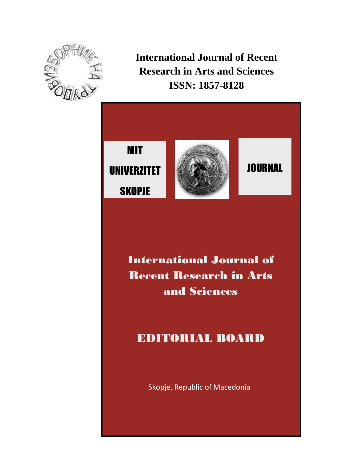



International Journal of Recent Research in Arts and Sciences

# EDITORIAL BOARD

Skopje, Republic of Macedonia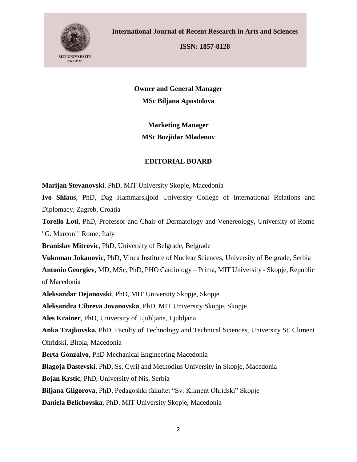

**ISSN: 1857-8128**

**Owner and General Manager MSc Biljana Apostolova**

**Marketing Manager MSc Bozjidar Mladenov**

## **EDITORIAL BOARD**

**Marijan Stevanovski**, PhD, MIT University Skopje, Macedonia

**Ivo Shlaus**, PhD, Dag Hammarskjold University College of International Relations and Diplomacy, Zagreb, Croatia

**Torello Loti**, PhD, Professor and Chair of Dermatology and Venereology, University of Rome "G. Marconi" Rome, Italy

**Branislav Mitrovic**, PhD, University of Belgrade, Belgrade

**Vukoman Jokanovic**, PhD, Vinca Institute of Nuclear Sciences, University of Belgrade, Serbia

**Antonio Georgiev**, MD, MSc, PhD, PHO Cardiology – Prima, MIT University - Skopje, Republic

of Macedonia

**Aleksandar Dejanovski**, PhD, MIT University Skopje, Skopje

**Aleksandra Cibreva Jovanovska**, PhD, MIT University Skopje, Skopje

**Ales Krainer**, PhD, University of Ljubljana, Ljubljana

**Anka Trajkovska,** PhD, Faculty of Technology and Technical Sciences, University St. Climent Ohridski, Bitola, Macedonia

**Berta Gonzalvo**, PhD Mechanical Engineering Macedonia

**Blagoja Dastevski**, PhD, Ss. Cyril and Methodius University in Skopje, Macedonia

**Bojan Krstic**, PhD, University of Nis, Serbia

**Biljana Gligorova**, PhD, Pedagoshki fakultet "Sv. Kliment Ohridski" Skopje

**Daniela Belichovska**, PhD, MIT University Skopje, Macedonia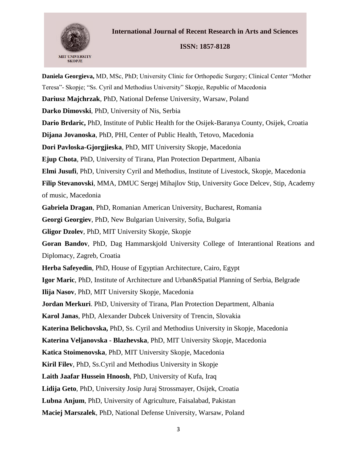

### **ISSN: 1857-8128**

**Daniela Georgieva,** MD, MSc, PhD; University Clinic for Orthopedic Surgery; Clinical Center "Mother Teresa"- Skopje; "Ss. Cyril and Methodius University" Skopje, Republic of Macedonia **Dariusz Majchrzak**, PhD, National Defense University, Warsaw, Poland **Darko Dimovski**, PhD, University of Nis, Serbia **Dario Brdaric,** PhD, Institute of Public Health for the Osijek-Baranya County, Osijek, Croatia **Dijana Jovanoska**, PhD, PHI, Center of Public Health, Tetovo, Macedonia **Dori Pavloska-Gjorgjieska**, PhD, MIT University Skopje, Macedonia **Ejup Chota**, PhD, University of Tirana, Plan Protection Department, Albania **Elmi Jusufi**, PhD, University Cyril and Methodius, Institute of Livestock, Skopje, Macedonia **Filip Stevanovski**, MMA, DMUC Sergej Mihajlov Stip, University Goce Delcev, Stip, Academy of music, Macedonia **Gabriela Dragan**, PhD, Romanian American University, Bucharest, Romania **Georgi Georgiev**, PhD, New Bulgarian University, Sofia, Bulgaria **Gligor Dzolev**, PhD, MIT University Skopje, Skopje **Goran Bandov**, PhD, Dag Hammarskjold University College of Interantional Reations and Diplomacy, Zagreb, Croatia **Herba Safeyedin**, PhD, House of Egyptian Architecture, Cairo, Egypt **Igor Maric**, PhD, Institute of Architecture and Urban&Spatial Planning of Serbia, Belgrade **Ilija Nasov**, PhD, MIT University Skopje, Macedonia **Jordan Merkuri**. PhD, University of Tirana, Plan Protection Department, Albania **Karol Janas**, PhD, Alexander Dubcek University of Trencin, Slovakia **Katerina Belichovska,** PhD, Ss. Cyril and Methodius University in Skopje, Macedonia **Katerina Veljanovska - Blazhevska**, PhD, MIT University Skopje, Macedonia **Katica Stoimenovska**, PhD, MIT University Skopje, Macedonia **Kiril Filev**, PhD, Ss.Cyril and Methodius University in Skopje **Laith Jaafar Hussein Hnoosh**, PhD, University of Kufa, Iraq **Lidija Geto**, PhD, University Josip Juraj Strossmayer, Osijek, Croatia **Lubna Anjum**, PhD, University of Agriculture, Faisalabad, Pakistan **Maciej Marszalek**, PhD, National Defense University, Warsaw, Poland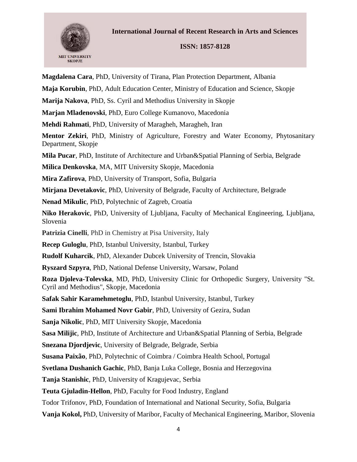

## **ISSN: 1857-8128**

**Magdalena Cara**, PhD, University of Tirana, Plan Protection Department, Albania **Maja Korubin**, PhD, Adult Education Center, Ministry of Education and Science, Skopje **Marija Nakova**, PhD, Ss. Cyril and Methodius University in Skopje **Marjan Mladenovski**, PhD, Euro College Kumanovo, Macedonia **Mehdi Rahmati**, PhD, University of Maragheh, Maragheh, Iran **Mentor Zekiri**, PhD, Ministry of Agriculture, Forestry and Water Economy, Phytosanitary Department, Skopje **Mila Pucar**, PhD, Institute of Architecture and Urban&Spatial Planning of Serbia, Belgrade **Milica Denkovska**, MA, MIT University Skopje, Macedonia **Mira Zafirova**, PhD, University of Transport, Sofia, Bulgaria **Mirjana Devetakovic**, PhD, University of Belgrade, Faculty of Architecture, Belgrade **Nenad Mikulic**, PhD, Polytechnic of Zagreb, Croatia **Niko Herakovic**, PhD, University of Ljubljana, Faculty of Mechanical Engineering, Ljubljana, Slovenia **Patrizia Cinelli**, PhD in Chemistry at Pisa University, Italy **Recep Guloglu**, PhD, Istanbul University, Istanbul, Turkey **Rudolf Kuharcik**, PhD, Alexander Dubcek University of Trencin, Slovakia **Ryszard Szpyra**, PhD, National Defense University, Warsaw, Poland **Roza Djoleva-Tolevska**, MD, PhD, University Clinic for Orthopedic Surgery, University "St. Cyril and Methodius", Skopje, Macedonia **Safak Sahir Karamehmetoglu**, PhD, Istanbul University, Istanbul, Turkey **Sami Ibrahim Mohamed Novr Gabir**, PhD, University of Gezira, Sudan **Sanja Nikolic**, PhD, MIT University Skopje, Macedonia **Sasa Milijic**, PhD, Institute of Architecture and Urban&Spatial Planning of Serbia, Belgrade **Snezana Djordjevic**, University of Belgrade, Belgrade, Serbia **Susana Paixão**, PhD, Polytechnic of Coimbra / Coimbra Health School, Portugal **Svetlana Dushanich Gachic**, PhD, Banja Luka College, Bosnia and Herzegovina **Tanja Stanishic**, PhD, University of Kragujevac, Serbia **Teuta Gjuladin-Hellon**, PhD, Faculty for Food Industry, England Todor Trifonov, PhD, Foundation of International and National Security, Sofia, Bulgaria **Vanja Kokol,** PhD, University of Maribor, Faculty of Mechanical Engineering, Maribor, Slovenia